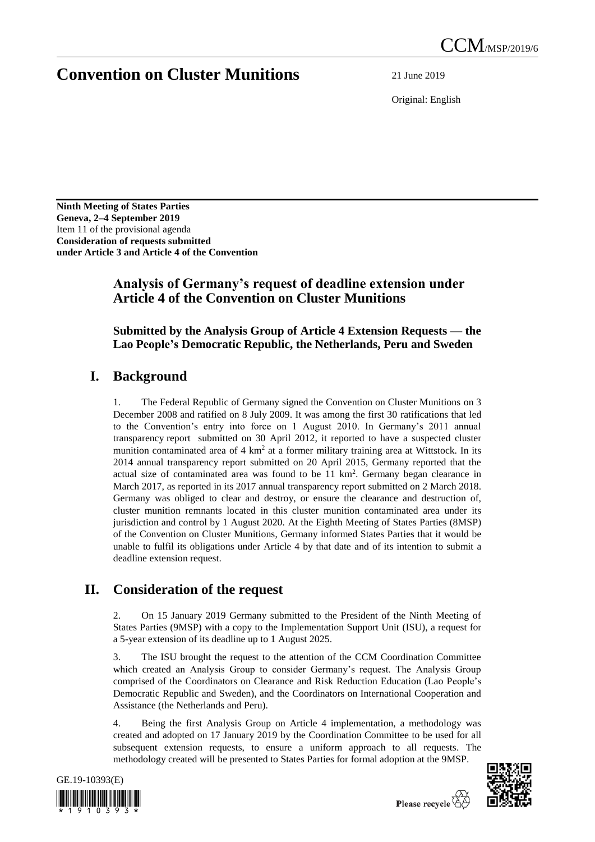# **Convention on Cluster Munitions** 21 June 2019

Original: English

**Ninth Meeting of States Parties Geneva, 2–4 September 2019** Item 11 of the provisional agenda **Consideration of requests submitted under Article 3 and Article 4 of the Convention**

### **Analysis of Germany's request of deadline extension under Article 4 of the Convention on Cluster Munitions**

#### **Submitted by the Analysis Group of Article 4 Extension Requests — the Lao People's Democratic Republic, the Netherlands, Peru and Sweden**

## **I. Background**

1. The Federal Republic of Germany signed the Convention on Cluster Munitions on 3 December 2008 and ratified on 8 July 2009. It was among the first 30 ratifications that led to the Convention's entry into force on 1 August 2010. In Germany's 2011 annual transparency report submitted on 30 April 2012, it reported to have a suspected cluster munition contaminated area of  $4 \text{ km}^2$  at a former military training area at Wittstock. In its 2014 annual transparency report submitted on 20 April 2015, Germany reported that the actual size of contaminated area was found to be  $11 \text{ km}^2$ . Germany began clearance in March 2017, as reported in its 2017 annual transparency report submitted on 2 March 2018. Germany was obliged to clear and destroy, or ensure the clearance and destruction of, cluster munition remnants located in this cluster munition contaminated area under its jurisdiction and control by 1 August 2020. At the Eighth Meeting of States Parties (8MSP) of the Convention on Cluster Munitions, Germany informed States Parties that it would be unable to fulfil its obligations under Article 4 by that date and of its intention to submit a deadline extension request.

## **II. Consideration of the request**

2. On 15 January 2019 Germany submitted to the President of the Ninth Meeting of States Parties (9MSP) with a copy to the Implementation Support Unit (ISU), a request for a 5-year extension of its deadline up to 1 August 2025.

3. The ISU brought the request to the attention of the CCM Coordination Committee which created an Analysis Group to consider Germany's request. The Analysis Group comprised of the Coordinators on Clearance and Risk Reduction Education (Lao People's Democratic Republic and Sweden), and the Coordinators on International Cooperation and Assistance (the Netherlands and Peru).

4. Being the first Analysis Group on Article 4 implementation, a methodology was created and adopted on 17 January 2019 by the Coordination Committee to be used for all subsequent extension requests, to ensure a uniform approach to all requests. The methodology created will be presented to States Parties for formal adoption at the 9MSP.



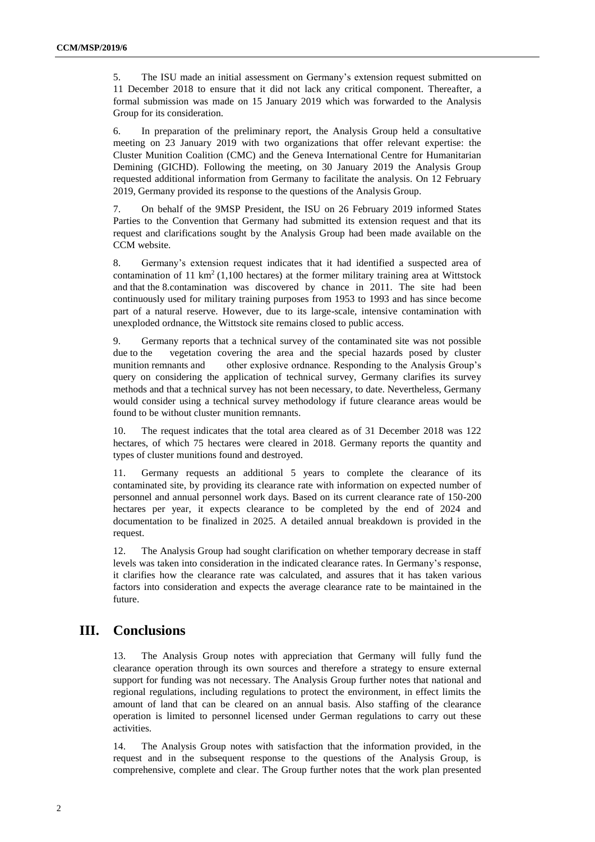5. The ISU made an initial assessment on Germany's extension request submitted on 11 December 2018 to ensure that it did not lack any critical component. Thereafter, a formal submission was made on 15 January 2019 which was forwarded to the Analysis Group for its consideration.

6. In preparation of the preliminary report, the Analysis Group held a consultative meeting on 23 January 2019 with two organizations that offer relevant expertise: the Cluster Munition Coalition (CMC) and the Geneva International Centre for Humanitarian Demining (GICHD). Following the meeting, on 30 January 2019 the Analysis Group requested additional information from Germany to facilitate the analysis. On 12 February 2019, Germany provided its response to the questions of the Analysis Group.

7. On behalf of the 9MSP President, the ISU on 26 February 2019 informed States Parties to the Convention that Germany had submitted its extension request and that its request and clarifications sought by the Analysis Group had been made available on the CCM website.

8. Germany's extension request indicates that it had identified a suspected area of contamination of 11 km<sup>2</sup> (1,100 hectares) at the former military training area at Wittstock and that the 8.contamination was discovered by chance in 2011. The site had been continuously used for military training purposes from 1953 to 1993 and has since become part of a natural reserve. However, due to its large-scale, intensive contamination with unexploded ordnance, the Wittstock site remains closed to public access.

9. Germany reports that a technical survey of the contaminated site was not possible due to the vegetation covering the area and the special hazards posed by cluster munition remnants and other explosive ordnance. Responding to the Analysis Group's query on considering the application of technical survey, Germany clarifies its survey methods and that a technical survey has not been necessary, to date. Nevertheless, Germany would consider using a technical survey methodology if future clearance areas would be found to be without cluster munition remnants.

10. The request indicates that the total area cleared as of 31 December 2018 was 122 hectares, of which 75 hectares were cleared in 2018. Germany reports the quantity and types of cluster munitions found and destroyed.

11. Germany requests an additional 5 years to complete the clearance of its contaminated site, by providing its clearance rate with information on expected number of personnel and annual personnel work days. Based on its current clearance rate of 150-200 hectares per year, it expects clearance to be completed by the end of 2024 and documentation to be finalized in 2025. A detailed annual breakdown is provided in the request.

12. The Analysis Group had sought clarification on whether temporary decrease in staff levels was taken into consideration in the indicated clearance rates. In Germany's response, it clarifies how the clearance rate was calculated, and assures that it has taken various factors into consideration and expects the average clearance rate to be maintained in the future.

#### **III. Conclusions**

13. The Analysis Group notes with appreciation that Germany will fully fund the clearance operation through its own sources and therefore a strategy to ensure external support for funding was not necessary. The Analysis Group further notes that national and regional regulations, including regulations to protect the environment, in effect limits the amount of land that can be cleared on an annual basis. Also staffing of the clearance operation is limited to personnel licensed under German regulations to carry out these activities.

14. The Analysis Group notes with satisfaction that the information provided, in the request and in the subsequent response to the questions of the Analysis Group, is comprehensive, complete and clear. The Group further notes that the work plan presented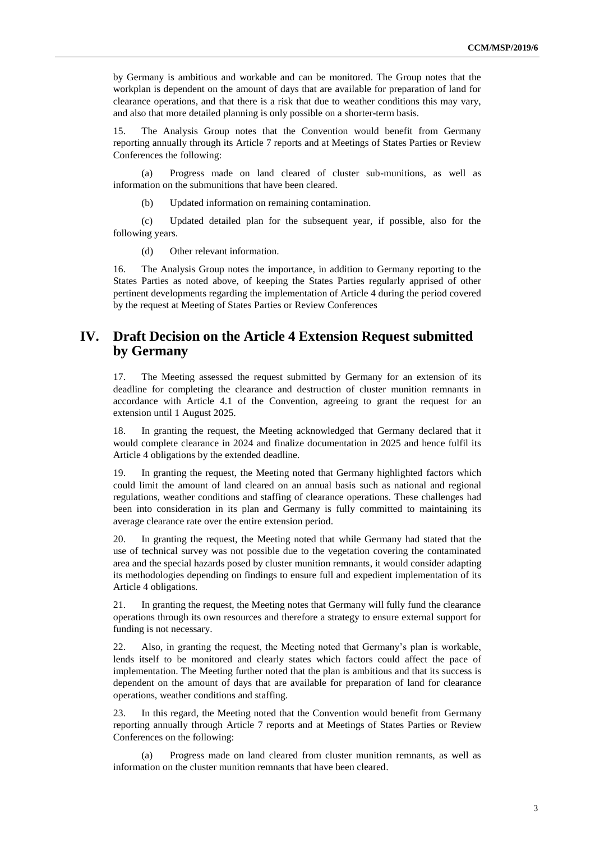by Germany is ambitious and workable and can be monitored. The Group notes that the workplan is dependent on the amount of days that are available for preparation of land for clearance operations, and that there is a risk that due to weather conditions this may vary, and also that more detailed planning is only possible on a shorter-term basis.

15. The Analysis Group notes that the Convention would benefit from Germany reporting annually through its Article 7 reports and at Meetings of States Parties or Review Conferences the following:

(a) Progress made on land cleared of cluster sub-munitions, as well as information on the submunitions that have been cleared.

(b) Updated information on remaining contamination.

(c) Updated detailed plan for the subsequent year, if possible, also for the following years.

(d) Other relevant information.

16. The Analysis Group notes the importance, in addition to Germany reporting to the States Parties as noted above, of keeping the States Parties regularly apprised of other pertinent developments regarding the implementation of Article 4 during the period covered by the request at Meeting of States Parties or Review Conferences

### **IV. Draft Decision on the Article 4 Extension Request submitted by Germany**

17. The Meeting assessed the request submitted by Germany for an extension of its deadline for completing the clearance and destruction of cluster munition remnants in accordance with Article 4.1 of the Convention, agreeing to grant the request for an extension until 1 August 2025.

18. In granting the request, the Meeting acknowledged that Germany declared that it would complete clearance in 2024 and finalize documentation in 2025 and hence fulfil its Article 4 obligations by the extended deadline.

19. In granting the request, the Meeting noted that Germany highlighted factors which could limit the amount of land cleared on an annual basis such as national and regional regulations, weather conditions and staffing of clearance operations. These challenges had been into consideration in its plan and Germany is fully committed to maintaining its average clearance rate over the entire extension period.

20. In granting the request, the Meeting noted that while Germany had stated that the use of technical survey was not possible due to the vegetation covering the contaminated area and the special hazards posed by cluster munition remnants, it would consider adapting its methodologies depending on findings to ensure full and expedient implementation of its Article 4 obligations.

21. In granting the request, the Meeting notes that Germany will fully fund the clearance operations through its own resources and therefore a strategy to ensure external support for funding is not necessary.

22. Also, in granting the request, the Meeting noted that Germany's plan is workable, lends itself to be monitored and clearly states which factors could affect the pace of implementation. The Meeting further noted that the plan is ambitious and that its success is dependent on the amount of days that are available for preparation of land for clearance operations, weather conditions and staffing.

23. In this regard, the Meeting noted that the Convention would benefit from Germany reporting annually through Article 7 reports and at Meetings of States Parties or Review Conferences on the following:

(a) Progress made on land cleared from cluster munition remnants, as well as information on the cluster munition remnants that have been cleared.